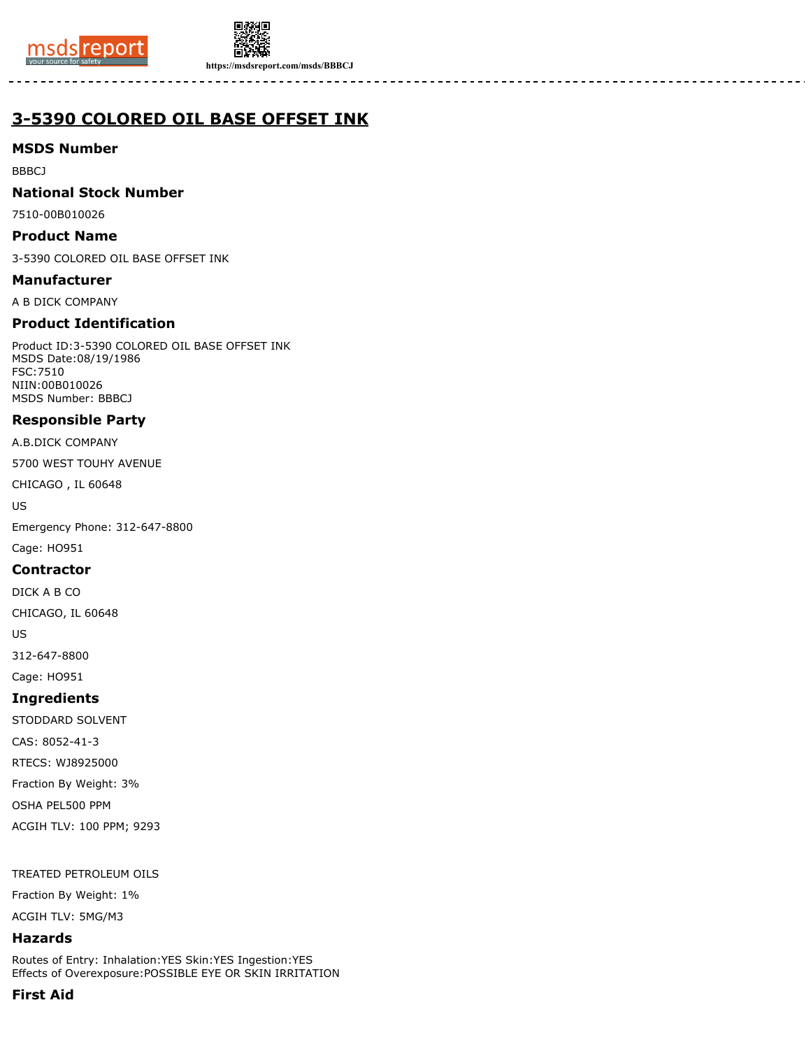



**https://msdsreport.com/msds/BBBCJ**

# **3-5390 COLORED OIL BASE OFFSET INK**

### **MSDS Number**

BBBCJ

### **National Stock Number**

7510-00B010026

### **Product Name**

3-5390 COLORED OIL BASE OFFSET INK

### **Manufacturer**

A B DICK COMPANY

## **Product Identification**

Product ID:3-5390 COLORED OIL BASE OFFSET INK MSDS Date:08/19/1986 FSC:7510 NIIN:00B010026 MSDS Number: BBBCJ

## **Responsible Party**

A.B.DICK COMPANY

5700 WEST TOUHY AVENUE

CHICAGO , IL 60648

US

Emergency Phone: 312-647-8800

Cage: HO951

### **Contractor**

DICK A B CO

CHICAGO, IL 60648

US

312-647-8800

Cage: HO951

### **Ingredients**

STODDARD SOLVENT

CAS: 8052-41-3

RTECS: WJ8925000

Fraction By Weight: 3%

OSHA PEL500 PPM

ACGIH TLV: 100 PPM; 9293

TREATED PETROLEUM OILS

Fraction By Weight: 1%

ACGIH TLV: 5MG/M3

# **Hazards**

Routes of Entry: Inhalation:YES Skin:YES Ingestion:YES Effects of Overexposure:POSSIBLE EYE OR SKIN IRRITATION

# **First Aid**